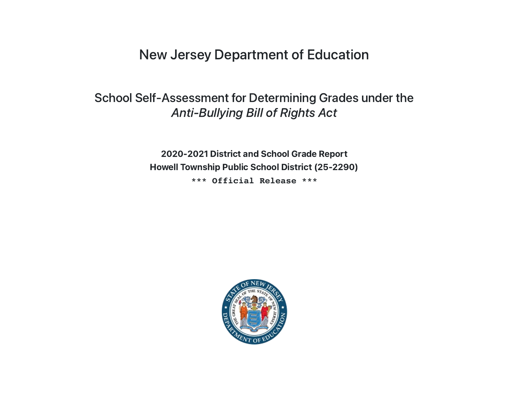New Jersey Department of Education

# School Self-Assessment for Determining Grades under the Anti-Bullying Bill of Rights Act

2020-2021 District and School Grade Report Howell Township Public School District (25-2290) **\*\*\* Official Release \*\*\***

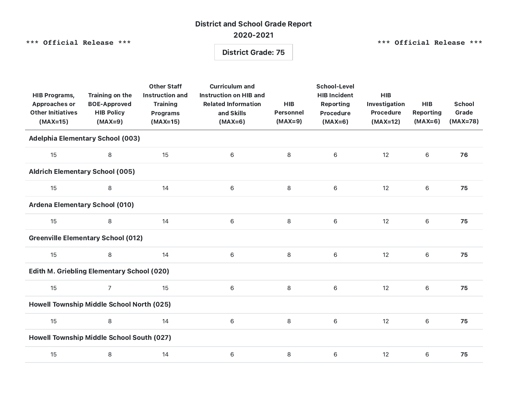## District and School Grade Report 2020-2021

**\*\*\* Official Release \*\*\***

**\*\*\* Official Release \*\*\***

### District Grade: 75

| <b>HIB Programs,</b><br><b>Approaches or</b><br><b>Other Initiatives</b><br>$(MAX=15)$ | <b>Training on the</b><br><b>BOE-Approved</b><br><b>HIB Policy</b><br>$(MAX=9)$ | <b>Other Staff</b><br><b>Instruction and</b><br><b>Training</b><br><b>Programs</b><br>$(MAX=15)$ | <b>Curriculum and</b><br><b>Instruction on HIB and</b><br><b>Related Information</b><br>and Skills<br>$(MAX=6)$ | <b>HIB</b><br>Personnel<br>$(MAX=9)$ | <b>School-Level</b><br><b>HIB Incident</b><br><b>Reporting</b><br>Procedure<br>$(MAX=6)$ | <b>HIB</b><br>Investigation<br><b>Procedure</b><br>$(MAX=12)$ | <b>HIB</b><br><b>Reporting</b><br>$(MAX=6)$ | <b>School</b><br>Grade<br>$(MAX=78)$ |  |  |  |
|----------------------------------------------------------------------------------------|---------------------------------------------------------------------------------|--------------------------------------------------------------------------------------------------|-----------------------------------------------------------------------------------------------------------------|--------------------------------------|------------------------------------------------------------------------------------------|---------------------------------------------------------------|---------------------------------------------|--------------------------------------|--|--|--|
| <b>Adelphia Elementary School (003)</b>                                                |                                                                                 |                                                                                                  |                                                                                                                 |                                      |                                                                                          |                                                               |                                             |                                      |  |  |  |
| 15                                                                                     | 8                                                                               | 15                                                                                               | 6                                                                                                               | 8                                    | $6\phantom{1}$                                                                           | 12                                                            | $\,$ 6 $\,$                                 | 76                                   |  |  |  |
| <b>Aldrich Elementary School (005)</b>                                                 |                                                                                 |                                                                                                  |                                                                                                                 |                                      |                                                                                          |                                                               |                                             |                                      |  |  |  |
| 15                                                                                     | 8                                                                               | 14                                                                                               | $\,6$                                                                                                           | 8                                    | 6                                                                                        | 12                                                            | 6                                           | 75                                   |  |  |  |
| <b>Ardena Elementary School (010)</b>                                                  |                                                                                 |                                                                                                  |                                                                                                                 |                                      |                                                                                          |                                                               |                                             |                                      |  |  |  |
| 15                                                                                     | 8                                                                               | 14                                                                                               | $\,6$                                                                                                           | 8                                    | 6                                                                                        | 12                                                            | $\,$ 6 $\,$                                 | 75                                   |  |  |  |
| <b>Greenville Elementary School (012)</b>                                              |                                                                                 |                                                                                                  |                                                                                                                 |                                      |                                                                                          |                                                               |                                             |                                      |  |  |  |
| 15                                                                                     | 8                                                                               | 14                                                                                               | $\,6\,$                                                                                                         | 8                                    | 6                                                                                        | 12                                                            | $\,$ 6 $\,$                                 | 75                                   |  |  |  |
| <b>Edith M. Griebling Elementary School (020)</b>                                      |                                                                                 |                                                                                                  |                                                                                                                 |                                      |                                                                                          |                                                               |                                             |                                      |  |  |  |
| 15                                                                                     | $\overline{7}$                                                                  | 15                                                                                               | $\,6$                                                                                                           | 8                                    | 6                                                                                        | 12                                                            | $\,$ 6                                      | 75                                   |  |  |  |
| Howell Township Middle School North (025)                                              |                                                                                 |                                                                                                  |                                                                                                                 |                                      |                                                                                          |                                                               |                                             |                                      |  |  |  |
| 15                                                                                     | 8                                                                               | 14                                                                                               | $\,$ 6                                                                                                          | 8                                    | 6                                                                                        | 12                                                            | 6                                           | 75                                   |  |  |  |
| Howell Township Middle School South (027)                                              |                                                                                 |                                                                                                  |                                                                                                                 |                                      |                                                                                          |                                                               |                                             |                                      |  |  |  |
| 15                                                                                     | 8                                                                               | 14                                                                                               | $\,$ 6                                                                                                          | 8                                    | 6                                                                                        | 12                                                            | 6                                           | 75                                   |  |  |  |